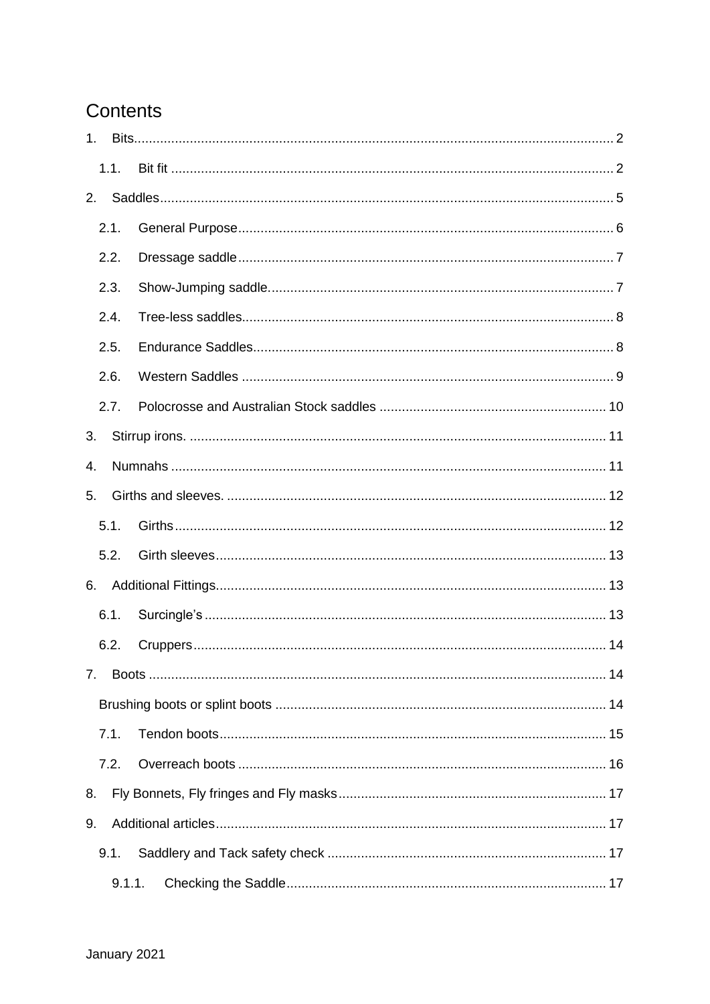# Contents

| 1 <sub>1</sub> |        |  |  |  |  |
|----------------|--------|--|--|--|--|
|                | 1.1.   |  |  |  |  |
| 2.             |        |  |  |  |  |
|                | 2.1.   |  |  |  |  |
|                | 2.2.   |  |  |  |  |
|                | 2.3.   |  |  |  |  |
|                | 2.4.   |  |  |  |  |
|                | 2.5.   |  |  |  |  |
|                | 2.6.   |  |  |  |  |
|                | 2.7.   |  |  |  |  |
| 3.             |        |  |  |  |  |
| 4.             |        |  |  |  |  |
| 5.             |        |  |  |  |  |
|                | 5.1.   |  |  |  |  |
|                | 5.2.   |  |  |  |  |
| 6.             |        |  |  |  |  |
|                | 6.1.   |  |  |  |  |
|                | 6.2.   |  |  |  |  |
| 7.             |        |  |  |  |  |
|                |        |  |  |  |  |
|                | 7.1.   |  |  |  |  |
|                | 7.2.   |  |  |  |  |
| 8.             |        |  |  |  |  |
| 9.             |        |  |  |  |  |
|                | 9.1.   |  |  |  |  |
|                | 9.1.1. |  |  |  |  |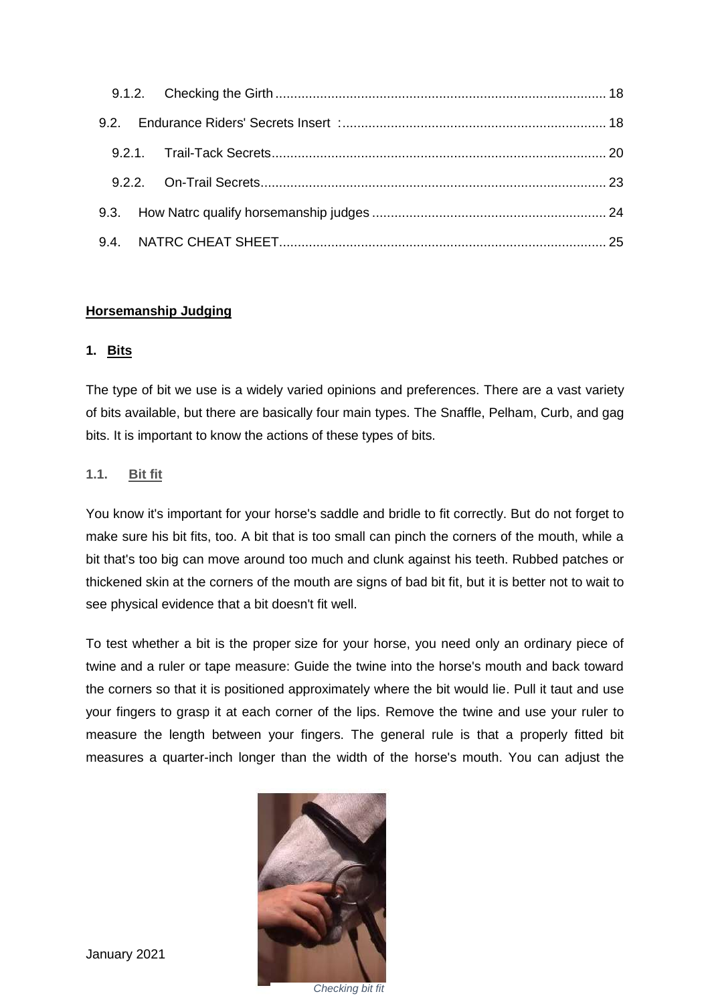## **Horsemanship Judging**

#### <span id="page-1-0"></span>**1. Bits**

The type of bit we use is a widely varied opinions and preferences. There are a vast variety of bits available, but there are basically four main types. The Snaffle, Pelham, Curb, and gag bits. It is important to know the actions of these types of bits.

#### <span id="page-1-1"></span>**1.1. Bit fit**

You know it's important for your horse's saddle and bridle to fit correctly. But do not forget to make sure his bit fits, too. A bit that is too small can pinch the corners of the mouth, while a bit that's too big can move around too much and clunk against his teeth. Rubbed patches or thickened skin at the corners of the mouth are signs of bad bit fit, but it is better not to wait to see physical evidence that a bit doesn't fit well.

To test whether a bit is the proper size for your horse, you need only an ordinary piece of twine and a ruler or tape measure: Guide the twine into the horse's mouth and back toward the corners so that it is positioned approximately where the bit would lie. Pull it taut and use your fingers to grasp it at each corner of the lips. Remove the twine and use your ruler to measure the length between your fingers. The general rule is that a properly fitted bit measures a quarter-inch longer than the width of the horse's mouth. You can adjust the

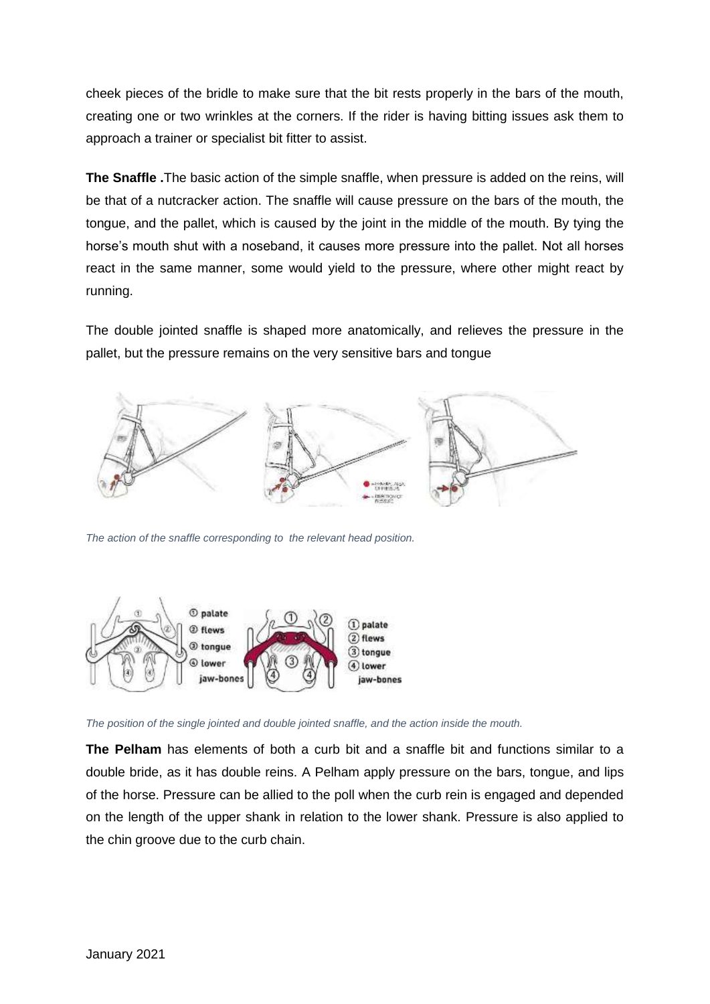cheek pieces of the bridle to make sure that the bit rests properly in the bars of the mouth, creating one or two wrinkles at the corners. If the rider is having bitting issues ask them to approach a trainer or specialist bit fitter to assist.

**The Snaffle .**The basic action of the simple snaffle, when pressure is added on the reins, will be that of a nutcracker action. The snaffle will cause pressure on the bars of the mouth, the tongue, and the pallet, which is caused by the joint in the middle of the mouth. By tying the horse's mouth shut with a noseband, it causes more pressure into the pallet. Not all horses react in the same manner, some would yield to the pressure, where other might react by running.

The double jointed snaffle is shaped more anatomically, and relieves the pressure in the pallet, but the pressure remains on the very sensitive bars and tongue



*The action of the snaffle corresponding to the relevant head position.*



*The position of the single jointed and double jointed snaffle, and the action inside the mouth.*

**The Pelham** has elements of both a curb bit and a snaffle bit and functions similar to a double bride, as it has double reins. A Pelham apply pressure on the bars, tongue, and lips of the horse. Pressure can be allied to the poll when the curb rein is engaged and depended on the length of the upper shank in relation to the lower shank. Pressure is also applied to the chin groove due to the curb chain.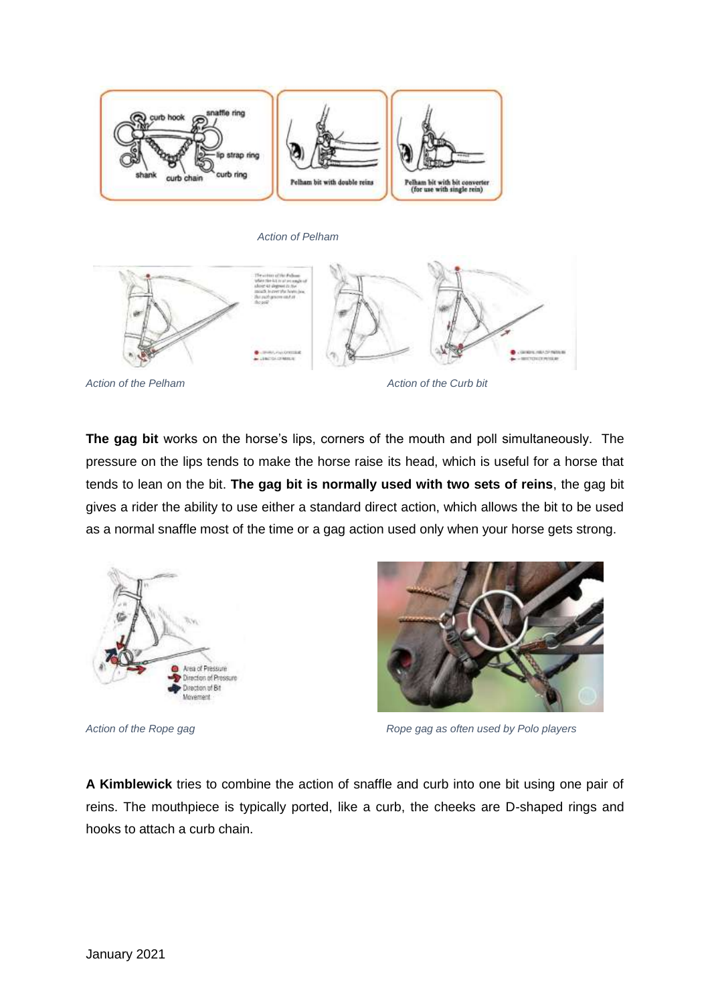



Action of the Pelham Action of the Curb bit

**The gag bit** works on the horse's lips, corners of the mouth and poll simultaneously. The pressure on the lips tends to make the horse raise its head, which is useful for a horse that tends to lean on the bit. **The gag bit is normally used with two sets of reins**, the gag bit gives a rider the ability to use either a standard direct action, which allows the bit to be used as a normal snaffle most of the time or a gag action used only when your horse gets strong.





Action of the Rope gag **Rope and The Rope gages** Rope gag as often used by Polo players

**A Kimblewick** tries to combine the action of snaffle and curb into one bit using one pair of reins. The mouthpiece is typically ported, like a curb, the cheeks are D-shaped rings and hooks to attach a curb chain.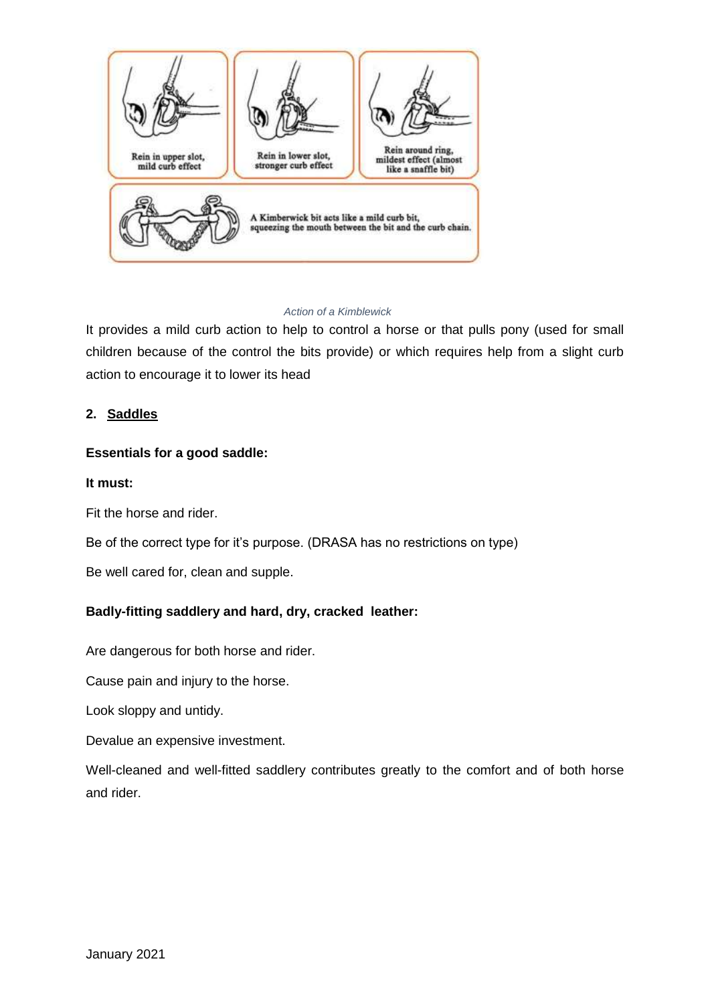

#### *Action of a Kimblewick*

It provides a mild curb action to help to control a horse or that pulls pony (used for small children because of the control the bits provide) or which requires help from a slight curb action to encourage it to lower its head

## <span id="page-4-0"></span>**2. Saddles**

## **Essentials for a good saddle:**

#### **It must:**

Fit the horse and rider.

Be of the correct type for it's purpose. (DRASA has no restrictions on type)

Be well cared for, clean and supple.

## **Badly-fitting saddlery and hard, dry, cracked leather:**

Are dangerous for both horse and rider.

Cause pain and injury to the horse.

Look sloppy and untidy.

Devalue an expensive investment.

Well-cleaned and well-fitted saddlery contributes greatly to the comfort and of both horse and rider.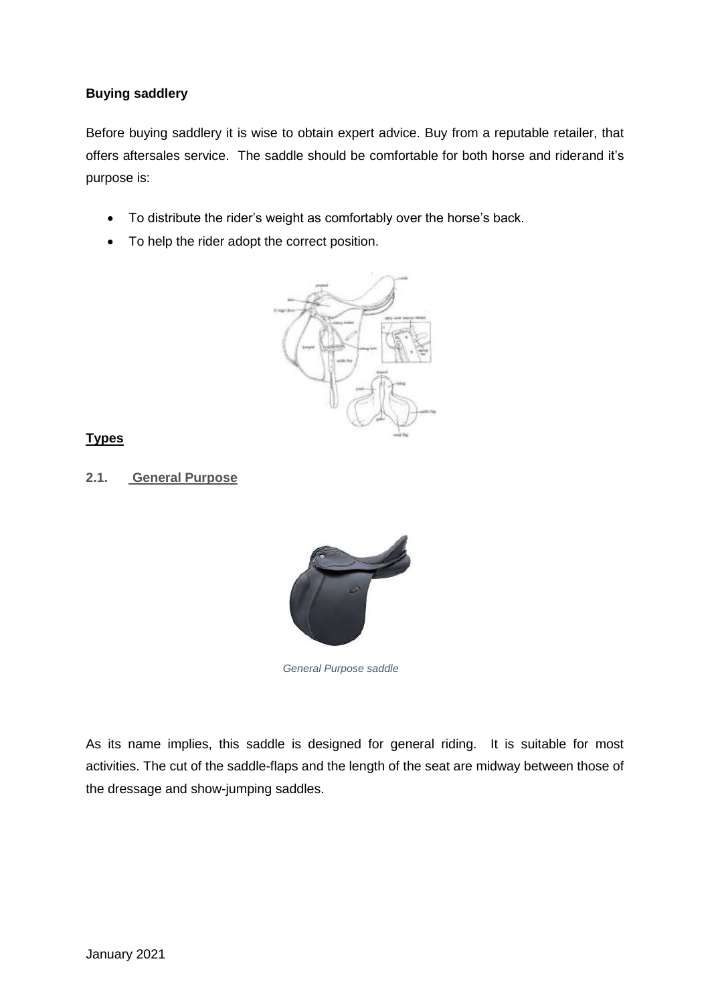## **Buying saddlery**

Before buying saddlery it is wise to obtain expert advice. Buy from a reputable retailer, that offers aftersales service. The saddle should be comfortable for both horse and riderand it's purpose is:

- To distribute the rider's weight as comfortably over the horse's back.
- To help the rider adopt the correct position.



## **Types**

## <span id="page-5-0"></span>**2.1. General Purpose**



*General Purpose saddle*

As its name implies, this saddle is designed for general riding. It is suitable for most activities. The cut of the saddle-flaps and the length of the seat are midway between those of the dressage and show-jumping saddles.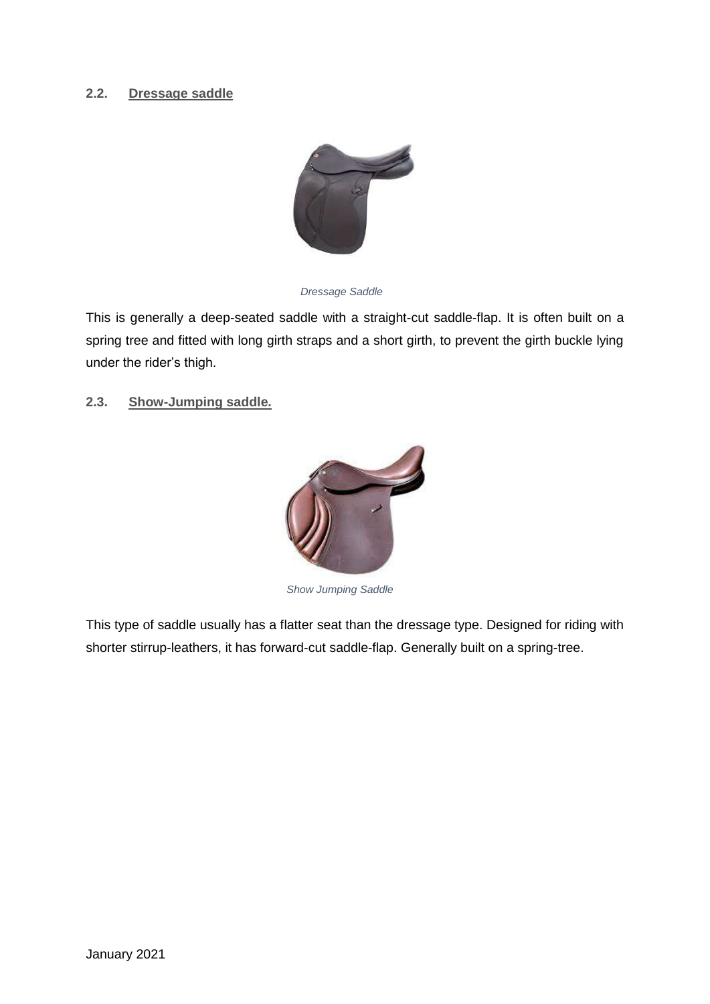## <span id="page-6-0"></span>**2.2. Dressage saddle**



*Dressage Saddle*

This is generally a deep-seated saddle with a straight-cut saddle-flap. It is often built on a spring tree and fitted with long girth straps and a short girth, to prevent the girth buckle lying under the rider's thigh.

<span id="page-6-1"></span>**2.3. Show-Jumping saddle.** 



*Show Jumping Saddle*

This type of saddle usually has a flatter seat than the dressage type. Designed for riding with shorter stirrup-leathers, it has forward-cut saddle-flap. Generally built on a spring-tree.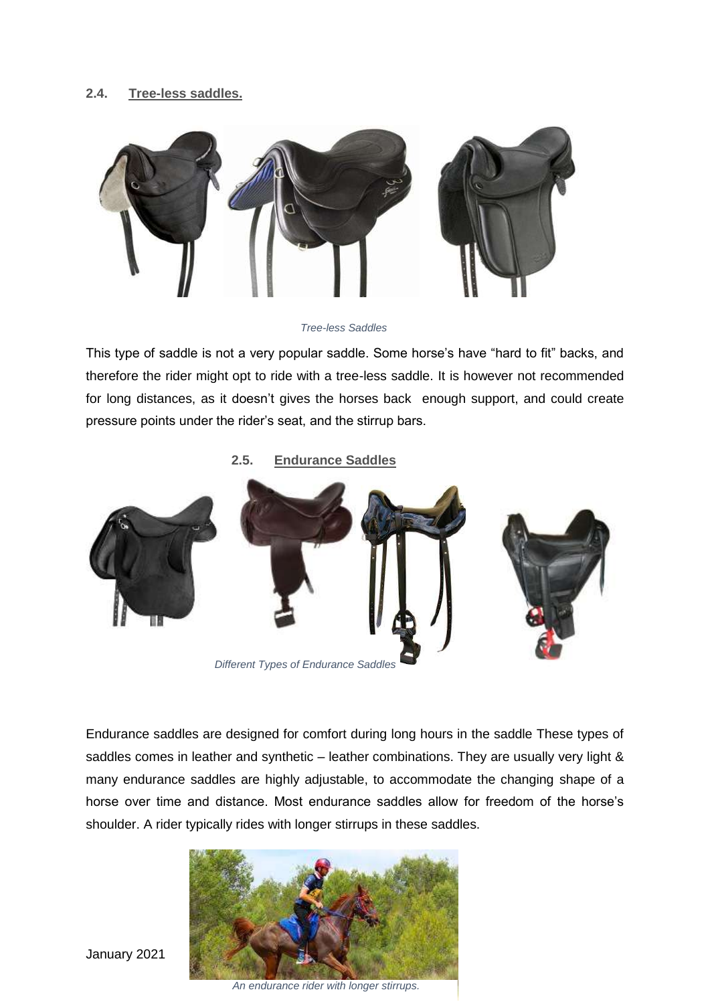## <span id="page-7-0"></span>**2.4. Tree-less saddles.**



*Tree-less Saddles*

This type of saddle is not a very popular saddle. Some horse's have "hard to fit" backs, and therefore the rider might opt to ride with a tree-less saddle. It is however not recommended for long distances, as it doesn't gives the horses back enough support, and could create pressure points under the rider's seat, and the stirrup bars.

<span id="page-7-1"></span>**2.5. Endurance Saddles**



Endurance saddles are designed for comfort during long hours in the saddle These types of saddles comes in leather and synthetic – leather combinations. They are usually very light & many endurance saddles are highly adjustable, to accommodate the changing shape of a horse over time and distance. Most endurance saddles allow for freedom of the horse's shoulder. A rider typically rides with longer stirrups in these saddles.

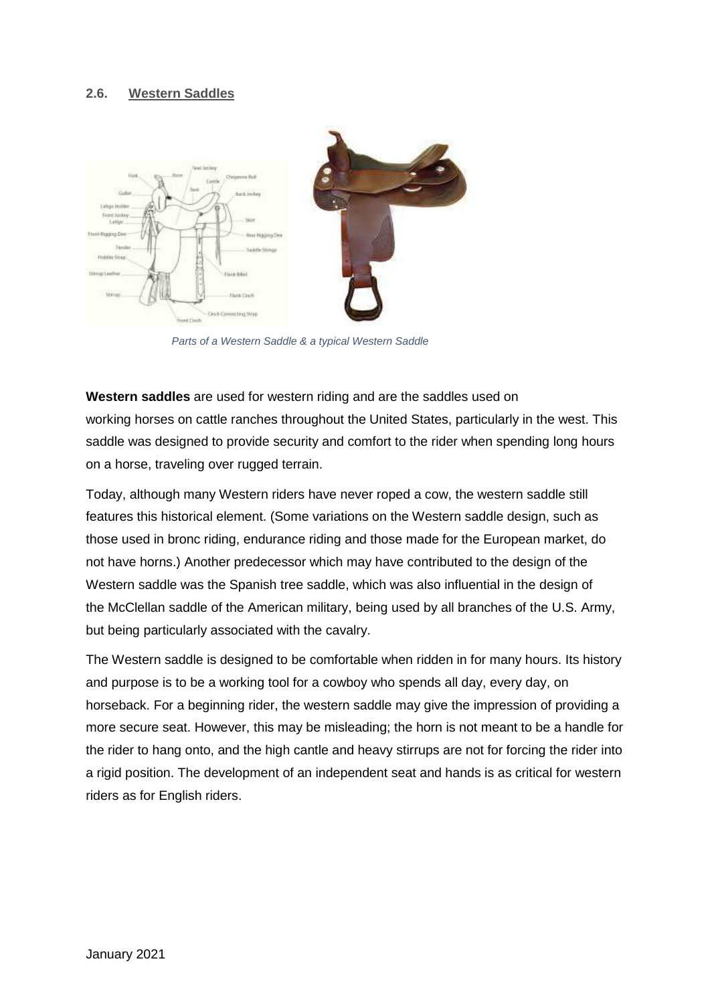#### <span id="page-8-0"></span>**2.6. Western Saddles**



*Parts of a Western Saddle & a typical Western Saddle*

**Western saddles** are used for [western riding](https://en.wikipedia.org/wiki/Western_riding) and are the [saddles](https://en.wikipedia.org/wiki/Saddle) used on working [horses](https://en.wikipedia.org/wiki/Horse) on [cattle](https://en.wikipedia.org/wiki/Cattle) [ranches](https://en.wikipedia.org/wiki/Ranch) throughout the [United States,](https://en.wikipedia.org/wiki/United_States) particularly in the west. This saddle was designed to provide security and comfort to the rider when spending long hours on a horse, traveling over rugged terrain.

Today, although many Western riders have never roped a cow, the western saddle still features this historical element. (Some variations on the Western saddle design, such as those used in [bronc riding,](https://en.wikipedia.org/wiki/Bronc_riding) [endurance riding](https://en.wikipedia.org/wiki/Endurance_riding) and those made for the [European](https://en.wikipedia.org/wiki/Europe) market, do not have horns.) Another predecessor which may have contributed to the design of the Western saddle was the Spanish tree saddle, which was also influential in the design of the [McClellan saddle](https://en.wikipedia.org/wiki/McClellan_saddle) of the American military, being used by all branches of the U.S. Army, but being particularly associated with the [cavalry.](https://en.wikipedia.org/wiki/Cavalry)

The Western saddle is designed to be comfortable when ridden in for many hours. Its history and purpose is to be a working tool for a [cowboy](https://en.wikipedia.org/wiki/Cowboy) who spends all day, every day, on horseback. For a beginning rider, the western saddle may give the impression of providing a more secure seat. However, this may be misleading; the horn is not meant to be a handle for the rider to hang onto, and the high cantle and heavy stirrups are not for forcing the rider into a rigid position. The development of an independent seat and hands is as critical for western riders as for [English riders.](https://en.wikipedia.org/wiki/English_riding)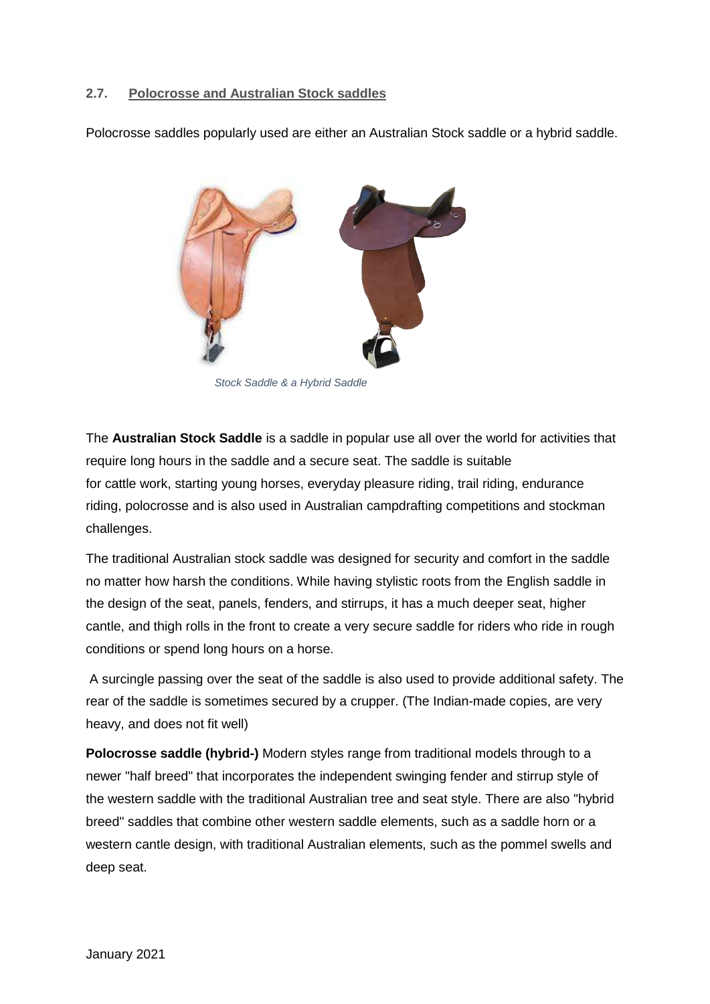## <span id="page-9-0"></span>**2.7. Polocrosse and Australian Stock saddles**

Polocrosse saddles popularly used are either an Australian Stock saddle or a hybrid saddle.



*Stock Saddle & a Hybrid Saddle*

The **Australian Stock Saddle** is a [saddle](https://en.wikipedia.org/wiki/Saddle) in popular use all over the world for activities that require long hours in the saddle and a secure seat. The saddle is suitable for [cattle](https://en.wikipedia.org/wiki/Cattle) work, [starting young horses,](https://en.wikipedia.org/wiki/Horse_training) everyday [pleasure riding,](https://en.wikipedia.org/wiki/Pleasure_riding) [trail riding,](https://en.wikipedia.org/wiki/Trail_riding) [endurance](https://en.wikipedia.org/wiki/Endurance_riding)  [riding,](https://en.wikipedia.org/wiki/Endurance_riding) [polocrosse](https://en.wikipedia.org/wiki/Polocrosse) and is also used in Australian [campdrafting](https://en.wikipedia.org/wiki/Campdrafting) competitions and stockman challenges.

The traditional Australian stock saddle was designed for security and comfort in the saddle no matter how harsh the conditions. While having stylistic roots from the [English saddle](https://en.wikipedia.org/wiki/English_saddle) in the design of the seat, panels, fenders, and stirrups, it has a much deeper seat, higher cantle, and thigh rolls in the front to create a very secure saddle for riders who ride in rough conditions or spend long hours on a horse.

A surcingle passing over the seat of the saddle is also used to provide additional safety. The rear of the saddle is sometimes secured by a [crupper.](https://en.wikipedia.org/wiki/Crupper) (The Indian-made copies, are very heavy, and does not fit well)

**Polocrosse saddle (hybrid-)** Modern styles range from traditional models through to a newer "half breed" that incorporates the independent swinging fender and [stirrup](https://en.wikipedia.org/wiki/Stirrup) style of the [western saddle](https://en.wikipedia.org/wiki/Western_saddle) with the traditional Australian tree and seat style. There are also "hybrid breed" saddles that combine other western saddle elements, such as a saddle horn or a western cantle design, with traditional Australian elements, such as the pommel swells and deep seat.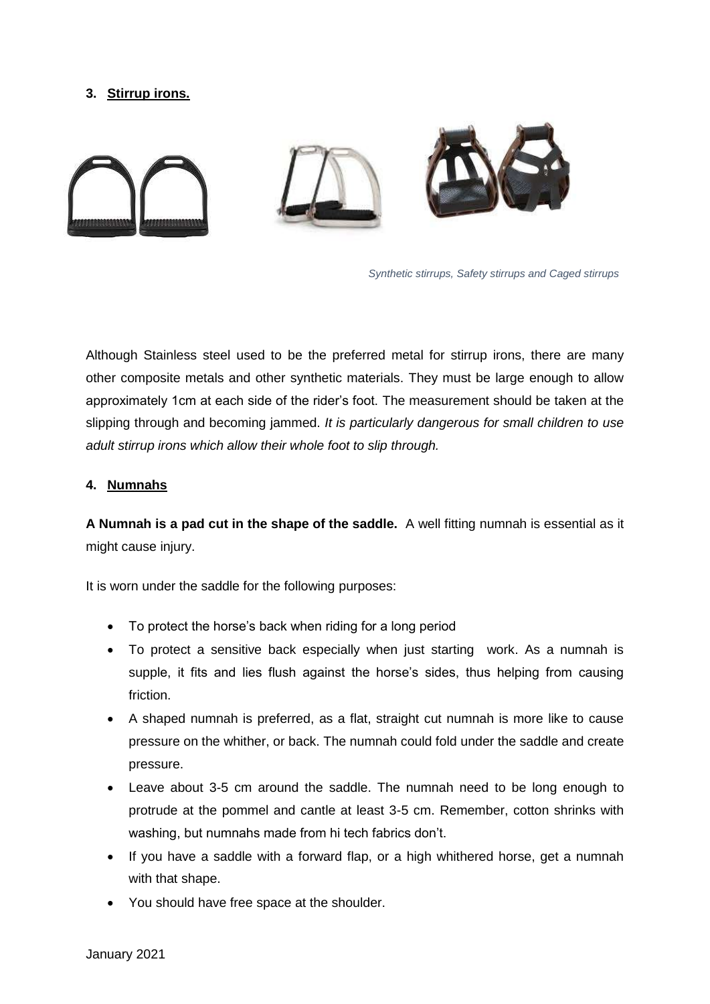## <span id="page-10-0"></span>**3. Stirrup irons.**



*Synthetic stirrups, Safety stirrups and Caged stirrups*

Although Stainless steel used to be the preferred metal for stirrup irons, there are many other composite metals and other synthetic materials. They must be large enough to allow approximately 1cm at each side of the rider's foot. The measurement should be taken at the slipping through and becoming jammed. *It is particularly dangerous for small children to use adult stirrup irons which allow their whole foot to slip through.*

#### <span id="page-10-1"></span>**4. Numnahs**

**A Numnah is a pad cut in the shape of the saddle.** A well fitting numnah is essential as it might cause injury.

It is worn under the saddle for the following purposes:

- To protect the horse's back when riding for a long period
- To protect a sensitive back especially when just starting work. As a numnah is supple, it fits and lies flush against the horse's sides, thus helping from causing friction.
- A shaped numnah is preferred, as a flat, straight cut numnah is more like to cause pressure on the whither, or back. The numnah could fold under the saddle and create pressure.
- Leave about 3-5 cm around the saddle. The numnah need to be long enough to protrude at the pommel and cantle at least 3-5 cm. Remember, cotton shrinks with washing, but numnahs made from hi tech fabrics don't.
- If you have a saddle with a forward flap, or a high whithered horse, get a numnah with that shape.
- You should have free space at the shoulder.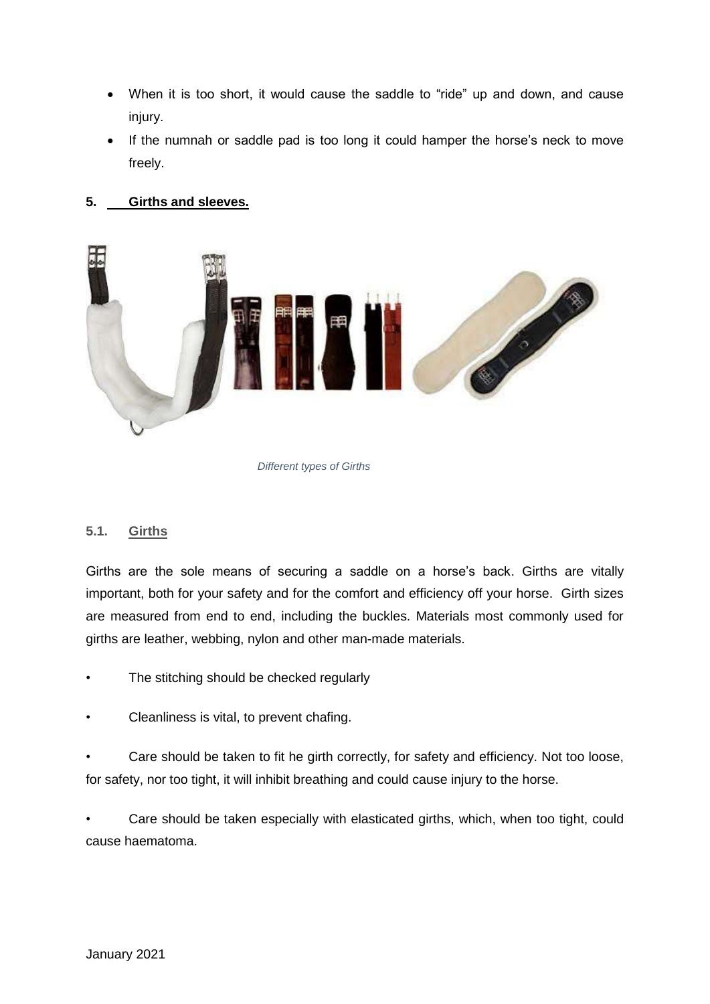- When it is too short, it would cause the saddle to "ride" up and down, and cause injury.
- If the numnah or saddle pad is too long it could hamper the horse's neck to move freely.

## <span id="page-11-0"></span>**5. Girths and sleeves.**



#### *Different types of Girths*

#### <span id="page-11-1"></span>**5.1. Girths**

Girths are the sole means of securing a saddle on a horse's back. Girths are vitally important, both for your safety and for the comfort and efficiency off your horse. Girth sizes are measured from end to end, including the buckles. Materials most commonly used for girths are leather, webbing, nylon and other man-made materials.

- The stitching should be checked regularly
- Cleanliness is vital, to prevent chafing.

• Care should be taken to fit he girth correctly, for safety and efficiency. Not too loose, for safety, nor too tight, it will inhibit breathing and could cause injury to the horse.

• Care should be taken especially with elasticated girths, which, when too tight, could cause haematoma.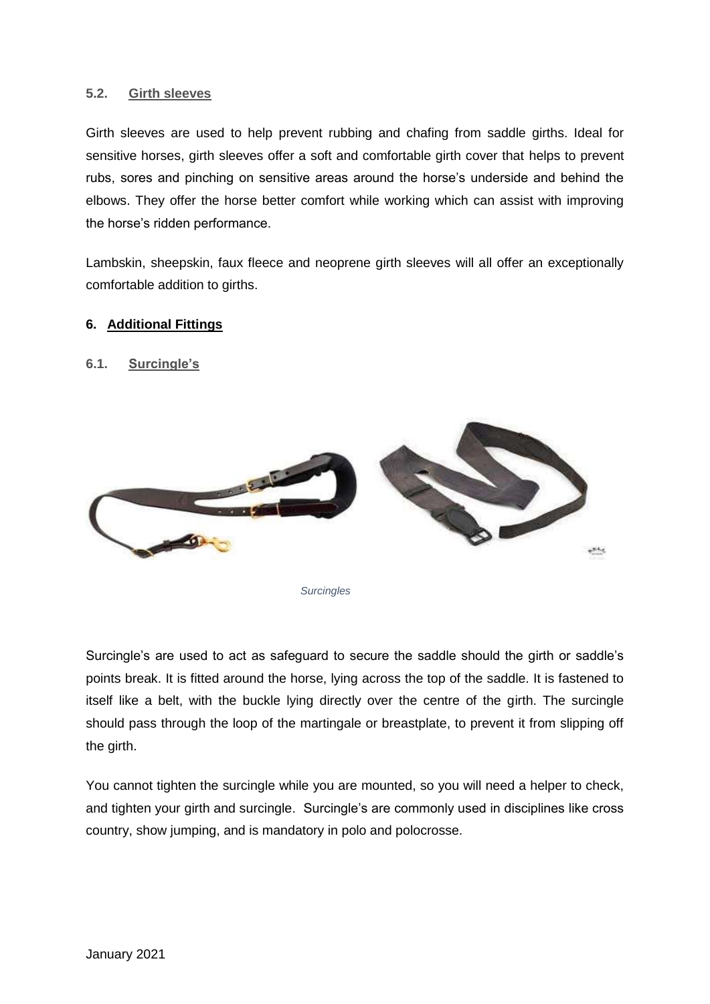### <span id="page-12-0"></span>**5.2. Girth sleeves**

Girth sleeves are used to help prevent rubbing and chafing from saddle girths. Ideal for sensitive horses, girth sleeves offer a soft and comfortable girth cover that helps to prevent rubs, sores and pinching on sensitive areas around the horse's underside and behind the elbows. They offer the horse better comfort while working which can assist with improving the horse's ridden performance.

Lambskin, sheepskin, faux fleece and neoprene girth sleeves will all offer an exceptionally comfortable addition to girths.

#### <span id="page-12-1"></span>**6. Additional Fittings**

#### <span id="page-12-2"></span>**6.1. Surcingle's**



*Surcingles*

Surcingle's are used to act as safeguard to secure the saddle should the girth or saddle's points break. It is fitted around the horse, lying across the top of the saddle. It is fastened to itself like a belt, with the buckle lying directly over the centre of the girth. The surcingle should pass through the loop of the martingale or breastplate, to prevent it from slipping off the girth.

You cannot tighten the surcingle while you are mounted, so you will need a helper to check, and tighten your girth and surcingle. Surcingle's are commonly used in disciplines like cross country, show jumping, and is mandatory in polo and polocrosse.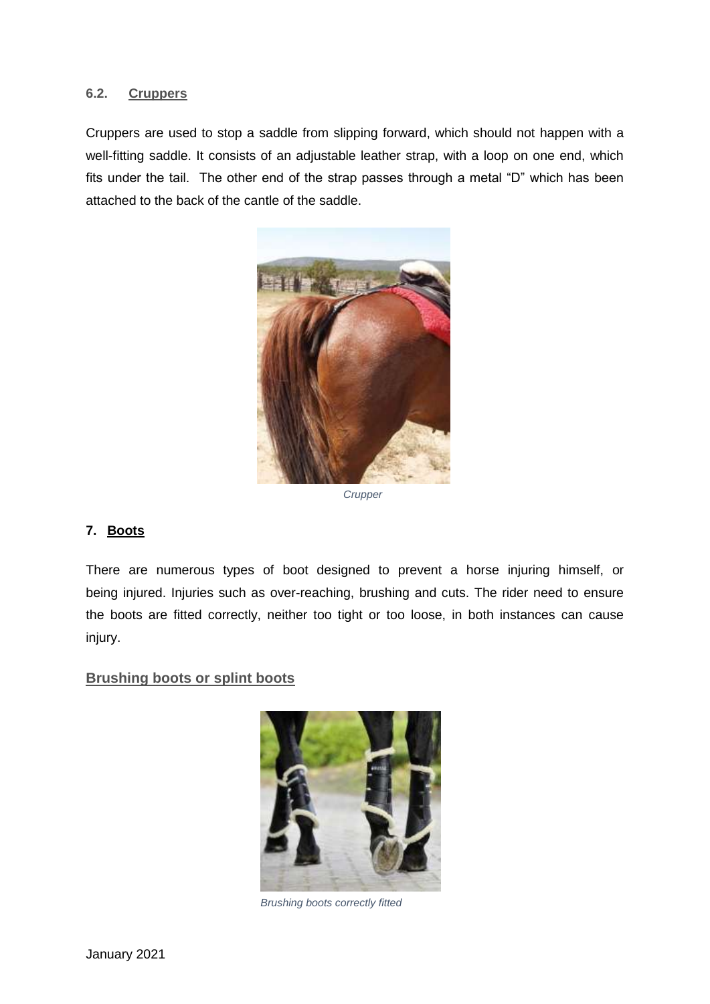### <span id="page-13-0"></span>**6.2. Cruppers**

Cruppers are used to stop a saddle from slipping forward, which should not happen with a well-fitting saddle. It consists of an adjustable leather strap, with a loop on one end, which fits under the tail. The other end of the strap passes through a metal "D" which has been attached to the back of the cantle of the saddle.



*Crupper*

## <span id="page-13-1"></span>**7. Boots**

There are numerous types of boot designed to prevent a horse injuring himself, or being injured. Injuries such as over-reaching, brushing and cuts. The rider need to ensure the boots are fitted correctly, neither too tight or too loose, in both instances can cause injury.

#### <span id="page-13-2"></span>**Brushing boots or splint boots**



*Brushing boots correctly fitted*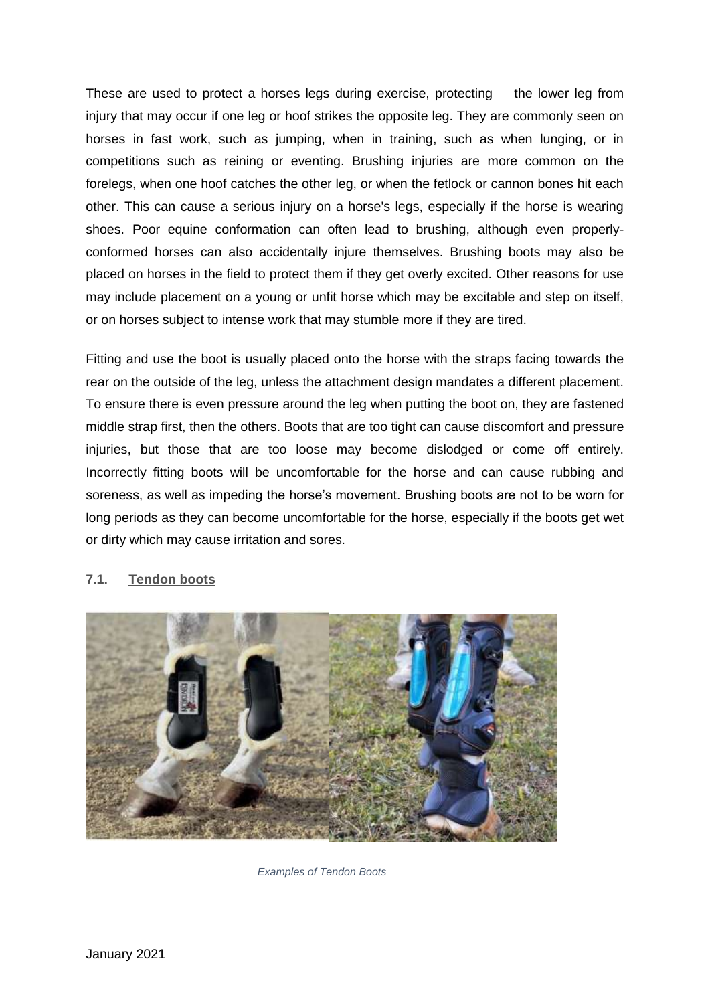These are used to protect a horses legs during exercise, protecting the lower leg from injury that may occur if one leg or hoof strikes the opposite leg. They are commonly seen on horses in fast work, such as jumping, when in training, such as when lunging, or in competitions such as reining or eventing. Brushing injuries are more common on the forelegs, when one hoof catches the other leg, or when the fetlock or cannon bones hit each other. This can cause a serious injury on a horse's legs, especially if the horse is wearing shoes. Poor equine conformation can often lead to brushing, although even properlyconformed horses can also accidentally injure themselves. Brushing boots may also be placed on horses in the field to protect them if they get overly excited. Other reasons for use may include placement on a young or unfit horse which may be excitable and step on itself, or on horses subject to intense work that may stumble more if they are tired.

Fitting and use the boot is usually placed onto the horse with the straps facing towards the rear on the outside of the leg, unless the attachment design mandates a different placement. To ensure there is even pressure around the leg when putting the boot on, they are fastened middle strap first, then the others. Boots that are too tight can cause discomfort and pressure injuries, but those that are too loose may become dislodged or come off entirely. Incorrectly fitting boots will be uncomfortable for the horse and can cause rubbing and soreness, as well as impeding the horse's movement. Brushing boots are not to be worn for long periods as they can become uncomfortable for the horse, especially if the boots get wet or dirty which may cause irritation and sores.



## <span id="page-14-0"></span>**7.1. Tendon boots**

*Examples of Tendon Boots*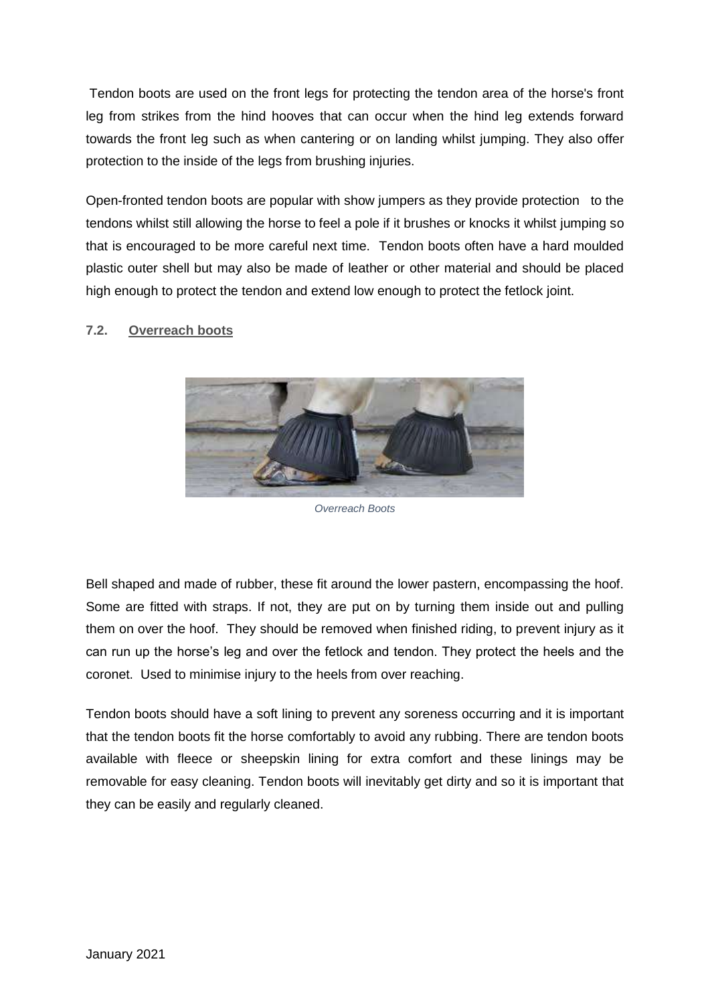Tendon boots are used on the front legs for protecting the tendon area of the horse's front leg from strikes from the hind hooves that can occur when the hind leg extends forward towards the front leg such as when cantering or on landing whilst jumping. They also offer protection to the inside of the legs from brushing injuries.

Open-fronted tendon boots are popular with show jumpers as they provide protection to the tendons whilst still allowing the horse to feel a pole if it brushes or knocks it whilst jumping so that is encouraged to be more careful next time. Tendon boots often have a hard moulded plastic outer shell but may also be made of leather or other material and should be placed high enough to protect the tendon and extend low enough to protect the fetlock joint.

## <span id="page-15-0"></span>**7.2. Overreach boots**



*Overreach Boots*

Bell shaped and made of rubber, these fit around the lower pastern, encompassing the hoof. Some are fitted with straps. If not, they are put on by turning them inside out and pulling them on over the hoof. They should be removed when finished riding, to prevent injury as it can run up the horse's leg and over the fetlock and tendon. They protect the heels and the coronet. Used to minimise injury to the heels from over reaching.

Tendon boots should have a soft lining to prevent any soreness occurring and it is important that the tendon boots fit the horse comfortably to avoid any rubbing. There are tendon boots available with fleece or sheepskin lining for extra comfort and these linings may be removable for easy cleaning. Tendon boots will inevitably get dirty and so it is important that they can be easily and regularly cleaned.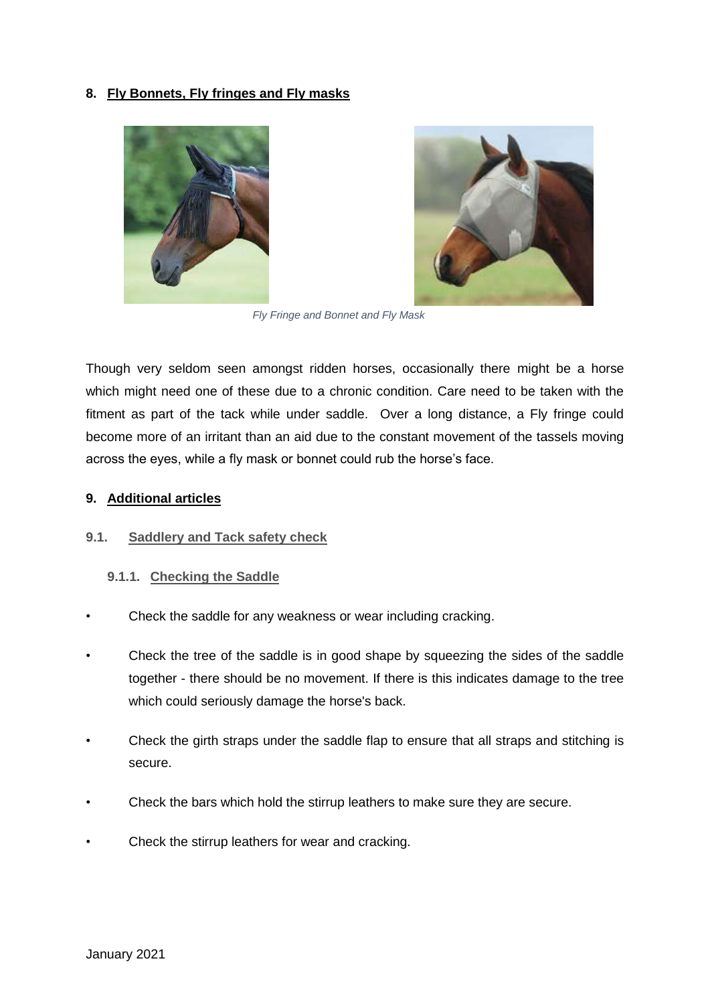## <span id="page-16-0"></span>**8. Fly Bonnets, Fly fringes and Fly masks**





*Fly Fringe and Bonnet and Fly Mask*

Though very seldom seen amongst ridden horses, occasionally there might be a horse which might need one of these due to a chronic condition. Care need to be taken with the fitment as part of the tack while under saddle. Over a long distance, a Fly fringe could become more of an irritant than an aid due to the constant movement of the tassels moving across the eyes, while a fly mask or bonnet could rub the horse's face.

#### <span id="page-16-1"></span>**9. Additional articles**

#### <span id="page-16-2"></span>**9.1. Saddlery and Tack safety check**

#### <span id="page-16-3"></span>**9.1.1. Checking the Saddle**

- Check the saddle for any weakness or wear including cracking.
- Check the tree of the saddle is in good shape by squeezing the sides of the saddle together - there should be no movement. If there is this indicates damage to the tree which could seriously damage the horse's back.
- Check the girth straps under the saddle flap to ensure that all straps and stitching is secure.
- Check the bars which hold the stirrup leathers to make sure they are secure.
- Check the stirrup leathers for wear and cracking.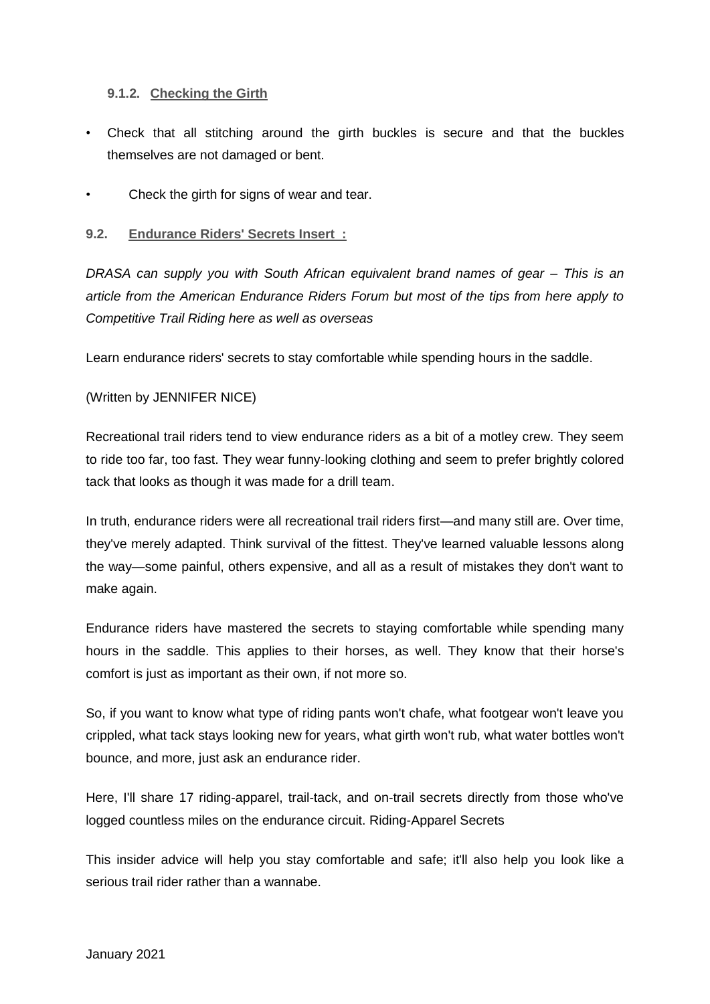## <span id="page-17-0"></span>**9.1.2. Checking the Girth**

- Check that all stitching around the girth buckles is secure and that the buckles themselves are not damaged or bent.
- Check the girth for signs of wear and tear.

#### <span id="page-17-1"></span>**9.2. Endurance Riders' Secrets Insert :**

*DRASA can supply you with South African equivalent brand names of gear – This is an article from the American Endurance Riders Forum but most of the tips from here apply to Competitive Trail Riding here as well as overseas*

Learn endurance riders' secrets to stay comfortable while spending hours in the saddle.

## (Written by JENNIFER NICE)

Recreational trail riders tend to view endurance riders as a bit of a motley crew. They seem to ride too far, too fast. They wear funny-looking clothing and seem to prefer brightly colored tack that looks as though it was made for a drill team.

In truth, endurance riders were all recreational trail riders first—and many still are. Over time, they've merely adapted. Think survival of the fittest. They've learned valuable lessons along the way—some painful, others expensive, and all as a result of mistakes they don't want to make again.

Endurance riders have mastered the secrets to staying comfortable while spending many hours in the saddle. This applies to their horses, as well. They know that their horse's comfort is just as important as their own, if not more so.

So, if you want to know what type of riding pants won't chafe, what footgear won't leave you crippled, what tack stays looking new for years, what girth won't rub, what water bottles won't bounce, and more, just ask an endurance rider.

Here, I'll share 17 riding-apparel, trail-tack, and on-trail secrets directly from those who've logged countless miles on the endurance circuit. Riding-Apparel Secrets

This insider advice will help you stay comfortable and safe; it'll also help you look like a serious trail rider rather than a wannabe.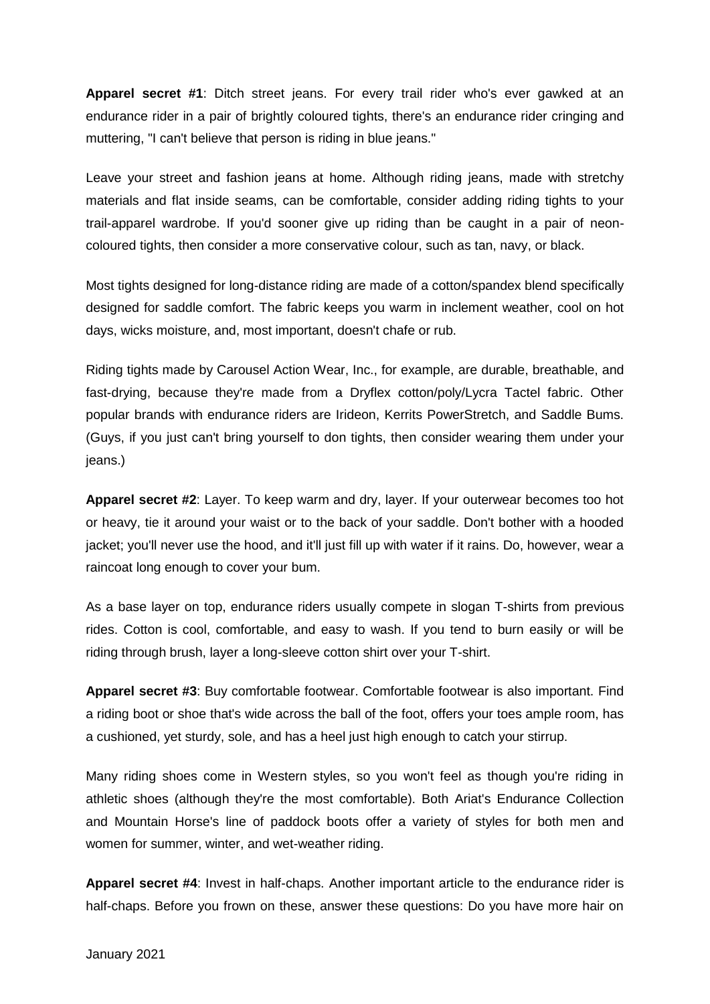**Apparel secret #1**: Ditch street jeans. For every trail rider who's ever gawked at an endurance rider in a pair of brightly coloured tights, there's an endurance rider cringing and muttering, "I can't believe that person is riding in blue jeans."

Leave your street and fashion jeans at home. Although riding jeans, made with stretchy materials and flat inside seams, can be comfortable, consider adding riding tights to your trail-apparel wardrobe. If you'd sooner give up riding than be caught in a pair of neoncoloured tights, then consider a more conservative colour, such as tan, navy, or black.

Most tights designed for long-distance riding are made of a cotton/spandex blend specifically designed for saddle comfort. The fabric keeps you warm in inclement weather, cool on hot days, wicks moisture, and, most important, doesn't chafe or rub.

Riding tights made by Carousel Action Wear, Inc., for example, are durable, breathable, and fast-drying, because they're made from a Dryflex cotton/poly/Lycra Tactel fabric. Other popular brands with endurance riders are Irideon, Kerrits PowerStretch, and Saddle Bums. (Guys, if you just can't bring yourself to don tights, then consider wearing them under your jeans.)

**Apparel secret #2**: Layer. To keep warm and dry, layer. If your outerwear becomes too hot or heavy, tie it around your waist or to the back of your saddle. Don't bother with a hooded jacket; you'll never use the hood, and it'll just fill up with water if it rains. Do, however, wear a raincoat long enough to cover your bum.

As a base layer on top, endurance riders usually compete in slogan T-shirts from previous rides. Cotton is cool, comfortable, and easy to wash. If you tend to burn easily or will be riding through brush, layer a long-sleeve cotton shirt over your T-shirt.

**Apparel secret #3**: Buy comfortable footwear. Comfortable footwear is also important. Find a riding boot or shoe that's wide across the ball of the foot, offers your toes ample room, has a cushioned, yet sturdy, sole, and has a heel just high enough to catch your stirrup.

Many riding shoes come in Western styles, so you won't feel as though you're riding in athletic shoes (although they're the most comfortable). Both Ariat's Endurance Collection and Mountain Horse's line of paddock boots offer a variety of styles for both men and women for summer, winter, and wet-weather riding.

**Apparel secret #4**: Invest in half-chaps. Another important article to the endurance rider is half-chaps. Before you frown on these, answer these questions: Do you have more hair on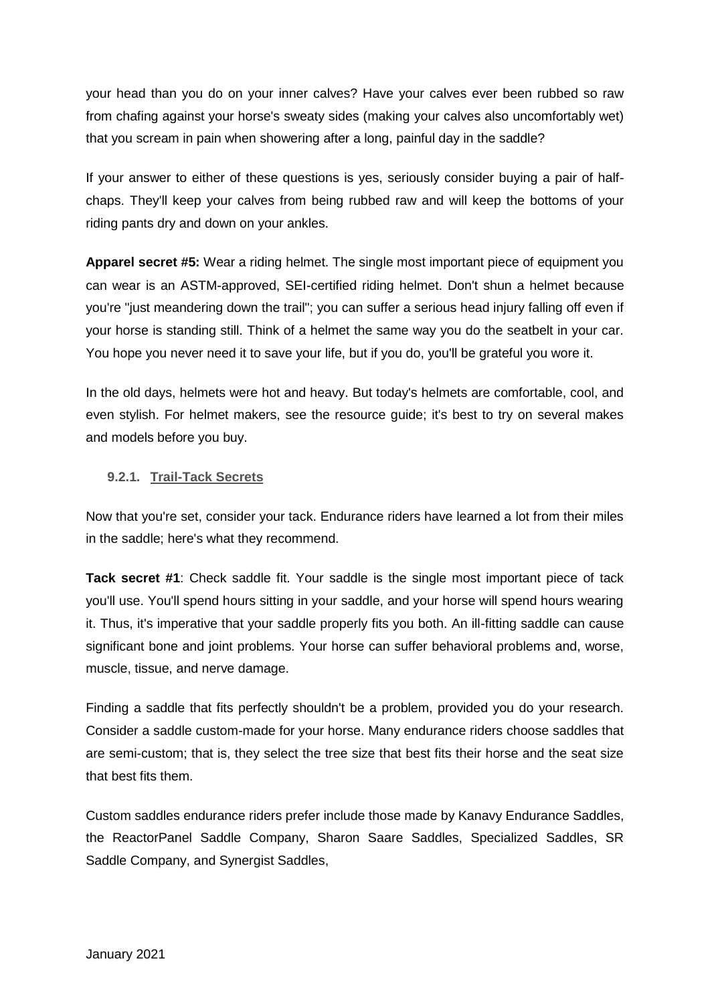your head than you do on your inner calves? Have your calves ever been rubbed so raw from chafing against your horse's sweaty sides (making your calves also uncomfortably wet) that you scream in pain when showering after a long, painful day in the saddle?

If your answer to either of these questions is yes, seriously consider buying a pair of halfchaps. They'll keep your calves from being rubbed raw and will keep the bottoms of your riding pants dry and down on your ankles.

**Apparel secret #5:** Wear a riding helmet. The single most important piece of equipment you can wear is an ASTM-approved, SEI-certified riding helmet. Don't shun a helmet because you're "just meandering down the trail"; you can suffer a serious head injury falling off even if your horse is standing still. Think of a helmet the same way you do the seatbelt in your car. You hope you never need it to save your life, but if you do, you'll be grateful you wore it.

In the old days, helmets were hot and heavy. But today's helmets are comfortable, cool, and even stylish. For helmet makers, see the resource guide; it's best to try on several makes and models before you buy.

## <span id="page-19-0"></span>**9.2.1. Trail-Tack Secrets**

Now that you're set, consider your tack. Endurance riders have learned a lot from their miles in the saddle; here's what they recommend.

**Tack secret #1**: Check saddle fit. Your saddle is the single most important piece of tack you'll use. You'll spend hours sitting in your saddle, and your horse will spend hours wearing it. Thus, it's imperative that your saddle properly fits you both. An ill-fitting saddle can cause significant bone and joint problems. Your horse can suffer behavioral problems and, worse, muscle, tissue, and nerve damage.

Finding a saddle that fits perfectly shouldn't be a problem, provided you do your research. Consider a saddle custom-made for your horse. Many endurance riders choose saddles that are semi-custom; that is, they select the tree size that best fits their horse and the seat size that best fits them.

Custom saddles endurance riders prefer include those made by Kanavy Endurance Saddles, the ReactorPanel Saddle Company, Sharon Saare Saddles, Specialized Saddles, SR Saddle Company, and Synergist Saddles,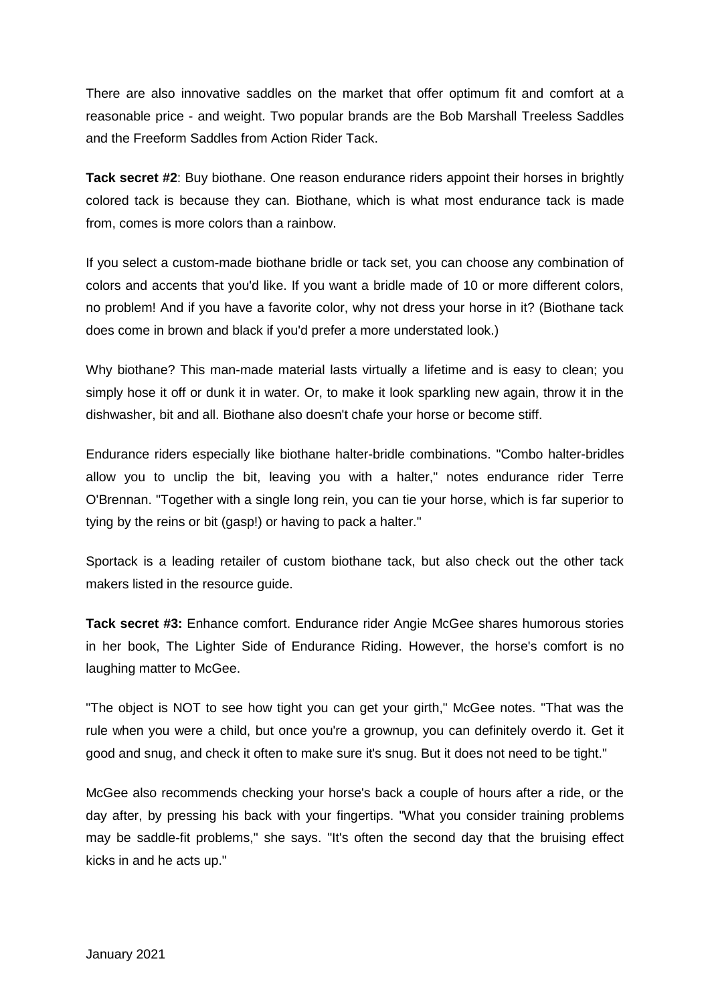There are also innovative saddles on the market that offer optimum fit and comfort at a reasonable price - and weight. Two popular brands are the Bob Marshall Treeless Saddles and the Freeform Saddles from Action Rider Tack.

**Tack secret #2**: Buy biothane. One reason endurance riders appoint their horses in brightly colored tack is because they can. Biothane, which is what most endurance tack is made from, comes is more colors than a rainbow.

If you select a custom-made biothane bridle or tack set, you can choose any combination of colors and accents that you'd like. If you want a bridle made of 10 or more different colors, no problem! And if you have a favorite color, why not dress your horse in it? (Biothane tack does come in brown and black if you'd prefer a more understated look.)

Why biothane? This man-made material lasts virtually a lifetime and is easy to clean; you simply hose it off or dunk it in water. Or, to make it look sparkling new again, throw it in the dishwasher, bit and all. Biothane also doesn't chafe your horse or become stiff.

Endurance riders especially like biothane halter-bridle combinations. "Combo halter-bridles allow you to unclip the bit, leaving you with a halter," notes endurance rider Terre O'Brennan. "Together with a single long rein, you can tie your horse, which is far superior to tying by the reins or bit (gasp!) or having to pack a halter."

Sportack is a leading retailer of custom biothane tack, but also check out the other tack makers listed in the resource guide.

**Tack secret #3:** Enhance comfort. Endurance rider Angie McGee shares humorous stories in her book, The Lighter Side of Endurance Riding. However, the horse's comfort is no laughing matter to McGee.

"The object is NOT to see how tight you can get your girth," McGee notes. "That was the rule when you were a child, but once you're a grownup, you can definitely overdo it. Get it good and snug, and check it often to make sure it's snug. But it does not need to be tight."

McGee also recommends checking your horse's back a couple of hours after a ride, or the day after, by pressing his back with your fingertips. "What you consider training problems may be saddle-fit problems," she says. "It's often the second day that the bruising effect kicks in and he acts up."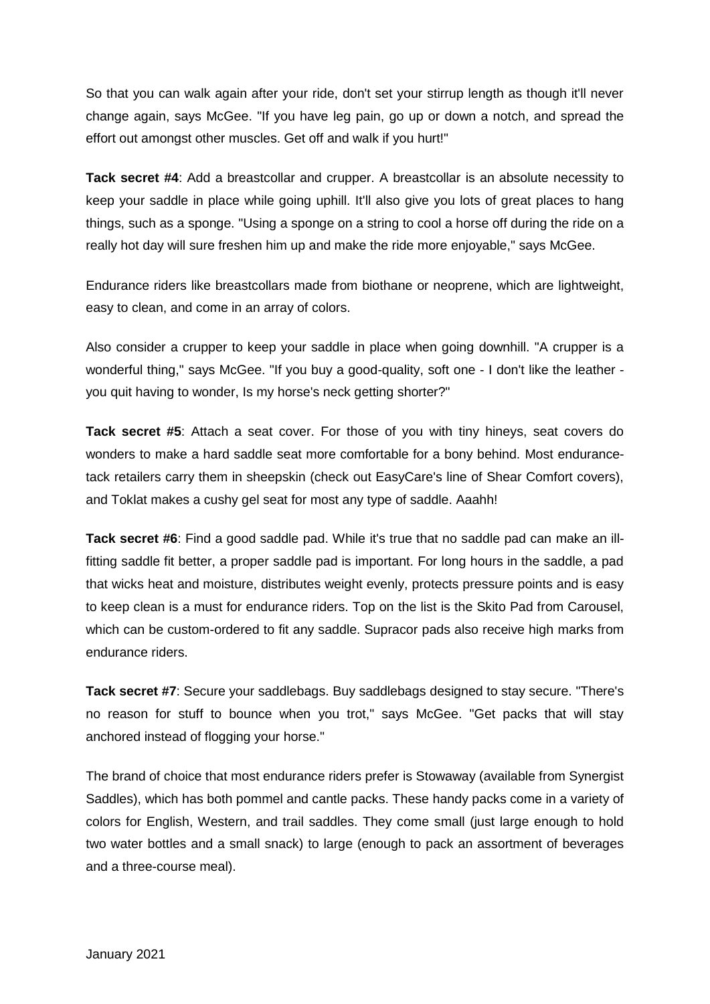So that you can walk again after your ride, don't set your stirrup length as though it'll never change again, says McGee. "If you have leg pain, go up or down a notch, and spread the effort out amongst other muscles. Get off and walk if you hurt!"

**Tack secret #4**: Add a breastcollar and crupper. A breastcollar is an absolute necessity to keep your saddle in place while going uphill. It'll also give you lots of great places to hang things, such as a sponge. "Using a sponge on a string to cool a horse off during the ride on a really hot day will sure freshen him up and make the ride more enjoyable," says McGee.

Endurance riders like breastcollars made from biothane or neoprene, which are lightweight, easy to clean, and come in an array of colors.

Also consider a crupper to keep your saddle in place when going downhill. "A crupper is a wonderful thing," says McGee. "If you buy a good-quality, soft one - I don't like the leather you quit having to wonder, Is my horse's neck getting shorter?"

**Tack secret #5**: Attach a seat cover. For those of you with tiny hineys, seat covers do wonders to make a hard saddle seat more comfortable for a bony behind. Most endurancetack retailers carry them in sheepskin (check out EasyCare's line of Shear Comfort covers), and Toklat makes a cushy gel seat for most any type of saddle. Aaahh!

**Tack secret #6**: Find a good saddle pad. While it's true that no saddle pad can make an illfitting saddle fit better, a proper saddle pad is important. For long hours in the saddle, a pad that wicks heat and moisture, distributes weight evenly, protects pressure points and is easy to keep clean is a must for endurance riders. Top on the list is the Skito Pad from Carousel, which can be custom-ordered to fit any saddle. Supracor pads also receive high marks from endurance riders.

**Tack secret #7**: Secure your saddlebags. Buy saddlebags designed to stay secure. "There's no reason for stuff to bounce when you trot," says McGee. "Get packs that will stay anchored instead of flogging your horse."

The brand of choice that most endurance riders prefer is Stowaway (available from Synergist Saddles), which has both pommel and cantle packs. These handy packs come in a variety of colors for English, Western, and trail saddles. They come small (just large enough to hold two water bottles and a small snack) to large (enough to pack an assortment of beverages and a three-course meal).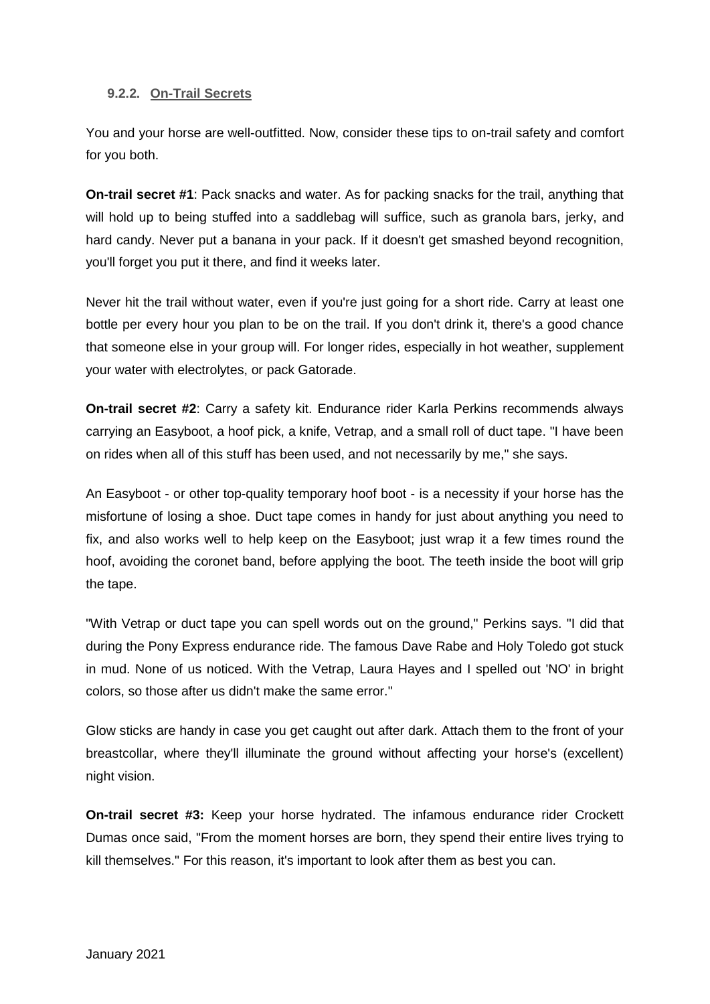### <span id="page-22-0"></span>**9.2.2. On-Trail Secrets**

You and your horse are well-outfitted. Now, consider these tips to on-trail safety and comfort for you both.

**On-trail secret #1**: Pack snacks and water. As for packing snacks for the trail, anything that will hold up to being stuffed into a saddlebag will suffice, such as granola bars, jerky, and hard candy. Never put a banana in your pack. If it doesn't get smashed beyond recognition, you'll forget you put it there, and find it weeks later.

Never hit the trail without water, even if you're just going for a short ride. Carry at least one bottle per every hour you plan to be on the trail. If you don't drink it, there's a good chance that someone else in your group will. For longer rides, especially in hot weather, supplement your water with electrolytes, or pack Gatorade.

**On-trail secret #2**: Carry a safety kit. Endurance rider Karla Perkins recommends always carrying an Easyboot, a hoof pick, a knife, Vetrap, and a small roll of duct tape. "I have been on rides when all of this stuff has been used, and not necessarily by me," she says.

An Easyboot - or other top-quality temporary hoof boot - is a necessity if your horse has the misfortune of losing a shoe. Duct tape comes in handy for just about anything you need to fix, and also works well to help keep on the Easyboot; just wrap it a few times round the hoof, avoiding the coronet band, before applying the boot. The teeth inside the boot will grip the tape.

"With Vetrap or duct tape you can spell words out on the ground," Perkins says. "I did that during the Pony Express endurance ride. The famous Dave Rabe and Holy Toledo got stuck in mud. None of us noticed. With the Vetrap, Laura Hayes and I spelled out 'NO' in bright colors, so those after us didn't make the same error."

Glow sticks are handy in case you get caught out after dark. Attach them to the front of your breastcollar, where they'll illuminate the ground without affecting your horse's (excellent) night vision.

**On-trail secret #3:** Keep your horse hydrated. The infamous endurance rider Crockett Dumas once said, "From the moment horses are born, they spend their entire lives trying to kill themselves." For this reason, it's important to look after them as best you can.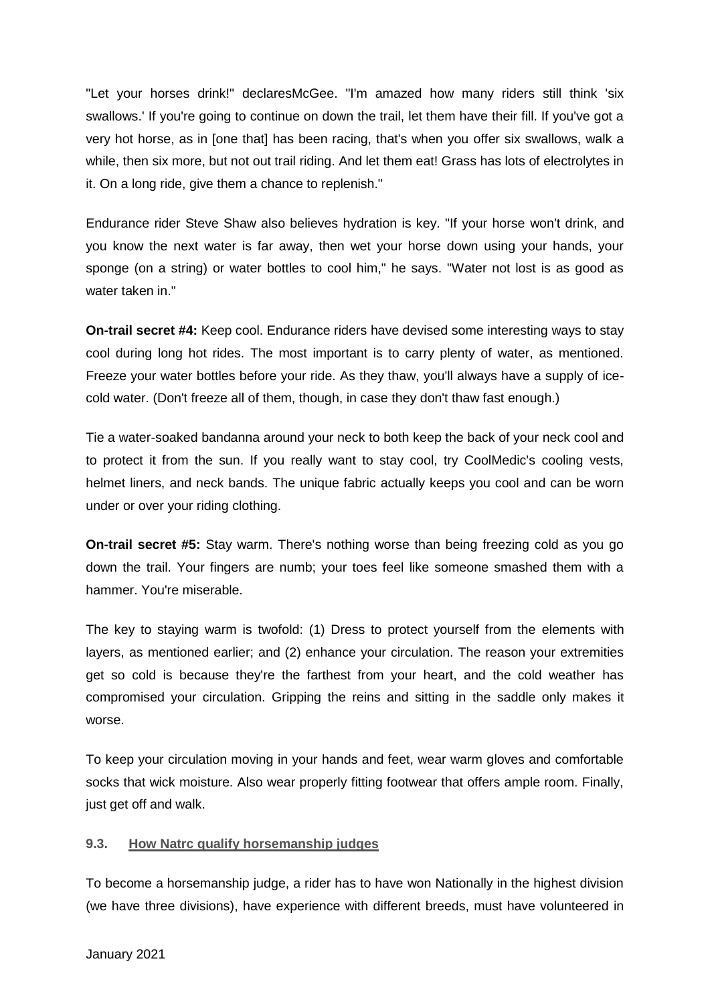"Let your horses drink!" declaresMcGee. "I'm amazed how many riders still think 'six swallows.' If you're going to continue on down the trail, let them have their fill. If you've got a very hot horse, as in [one that] has been racing, that's when you offer six swallows, walk a while, then six more, but not out trail riding. And let them eat! Grass has lots of electrolytes in it. On a long ride, give them a chance to replenish."

Endurance rider Steve Shaw also believes hydration is key. "If your horse won't drink, and you know the next water is far away, then wet your horse down using your hands, your sponge (on a string) or water bottles to cool him," he says. "Water not lost is as good as water taken in."

**On-trail secret #4:** Keep cool. Endurance riders have devised some interesting ways to stay cool during long hot rides. The most important is to carry plenty of water, as mentioned. Freeze your water bottles before your ride. As they thaw, you'll always have a supply of icecold water. (Don't freeze all of them, though, in case they don't thaw fast enough.)

Tie a water-soaked bandanna around your neck to both keep the back of your neck cool and to protect it from the sun. If you really want to stay cool, try CoolMedic's cooling vests, helmet liners, and neck bands. The unique fabric actually keeps you cool and can be worn under or over your riding clothing.

**On-trail secret #5:** Stay warm. There's nothing worse than being freezing cold as you go down the trail. Your fingers are numb; your toes feel like someone smashed them with a hammer. You're miserable.

The key to staying warm is twofold: (1) Dress to protect yourself from the elements with layers, as mentioned earlier; and (2) enhance your circulation. The reason your extremities get so cold is because they're the farthest from your heart, and the cold weather has compromised your circulation. Gripping the reins and sitting in the saddle only makes it worse.

To keep your circulation moving in your hands and feet, wear warm gloves and comfortable socks that wick moisture. Also wear properly fitting footwear that offers ample room. Finally, just get off and walk.

#### <span id="page-23-0"></span>**9.3. How Natrc qualify horsemanship judges**

To become a horsemanship judge, a rider has to have won Nationally in the highest division (we have three divisions), have experience with different breeds, must have volunteered in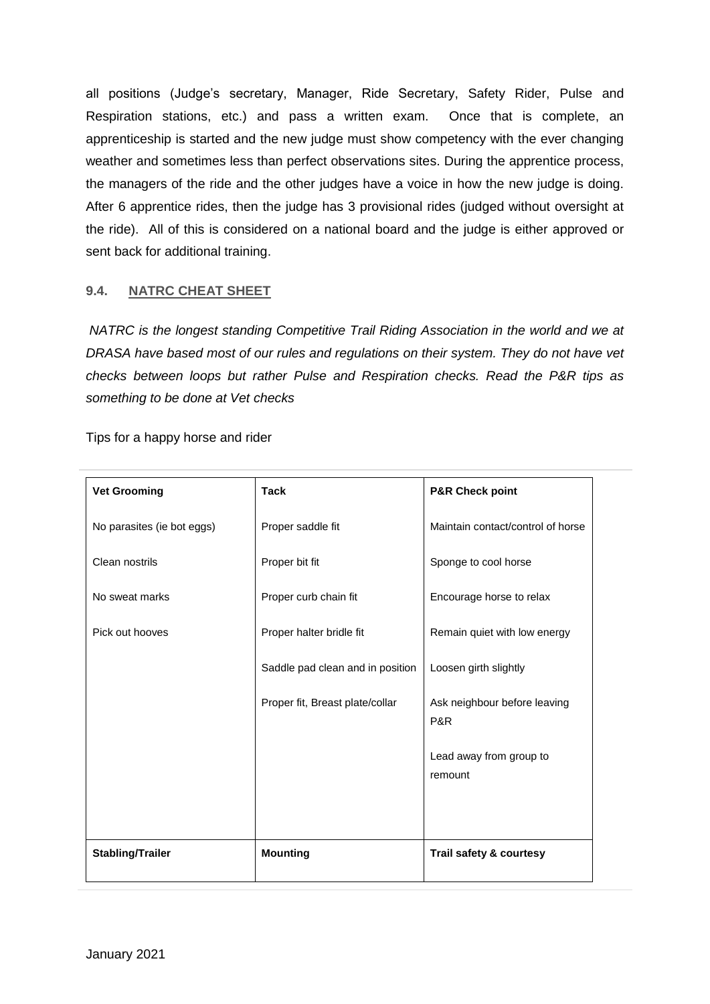all positions (Judge's secretary, Manager, Ride Secretary, Safety Rider, Pulse and Respiration stations, etc.) and pass a written exam. Once that is complete, an apprenticeship is started and the new judge must show competency with the ever changing weather and sometimes less than perfect observations sites. During the apprentice process, the managers of the ride and the other judges have a voice in how the new judge is doing. After 6 apprentice rides, then the judge has 3 provisional rides (judged without oversight at the ride). All of this is considered on a national board and the judge is either approved or sent back for additional training.

## <span id="page-24-0"></span>**9.4. NATRC CHEAT SHEET**

*NATRC is the longest standing Competitive Trail Riding Association in the world and we at DRASA have based most of our rules and regulations on their system. They do not have vet checks between loops but rather Pulse and Respiration checks. Read the P&R tips as something to be done at Vet checks*

| <b>Vet Grooming</b>        | <b>Tack</b>                      | <b>P&amp;R Check point</b>          |
|----------------------------|----------------------------------|-------------------------------------|
| No parasites (ie bot eggs) | Proper saddle fit                | Maintain contact/control of horse   |
| Clean nostrils             | Proper bit fit                   | Sponge to cool horse                |
| No sweat marks             | Proper curb chain fit            | Encourage horse to relax            |
| Pick out hooves            | Proper halter bridle fit         | Remain quiet with low energy        |
|                            | Saddle pad clean and in position | Loosen girth slightly               |
|                            | Proper fit, Breast plate/collar  | Ask neighbour before leaving<br>P&R |
|                            |                                  | Lead away from group to<br>remount  |
|                            |                                  |                                     |
| <b>Stabling/Trailer</b>    | <b>Mounting</b>                  | Trail safety & courtesy             |

Tips for a happy horse and rider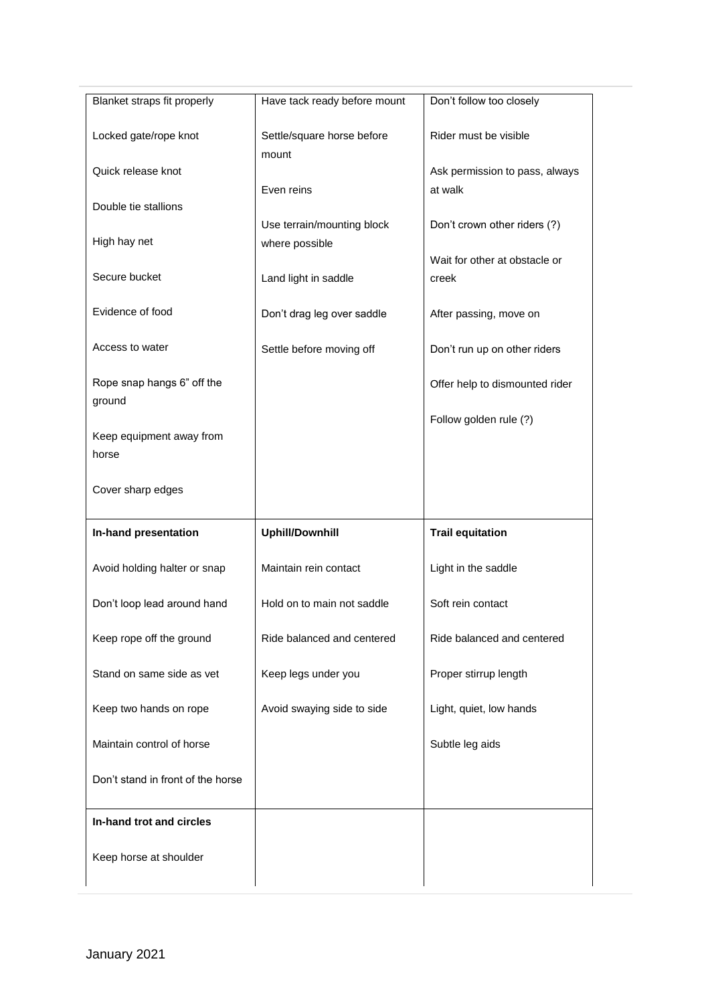| Blanket straps fit properly          | Have tack ready before mount                 | Don't follow too closely               |
|--------------------------------------|----------------------------------------------|----------------------------------------|
| Locked gate/rope knot                | Settle/square horse before<br>mount          | Rider must be visible                  |
| Quick release knot                   |                                              | Ask permission to pass, always         |
| Double tie stallions                 | Even reins                                   | at walk                                |
| High hay net                         | Use terrain/mounting block<br>where possible | Don't crown other riders (?)           |
| Secure bucket                        | Land light in saddle                         | Wait for other at obstacle or<br>creek |
| Evidence of food                     | Don't drag leg over saddle                   | After passing, move on                 |
| Access to water                      | Settle before moving off                     | Don't run up on other riders           |
| Rope snap hangs 6" off the<br>ground |                                              | Offer help to dismounted rider         |
|                                      |                                              | Follow golden rule (?)                 |
| Keep equipment away from<br>horse    |                                              |                                        |
| Cover sharp edges                    |                                              |                                        |
| In-hand presentation                 | <b>Uphill/Downhill</b>                       | <b>Trail equitation</b>                |
| Avoid holding halter or snap         | Maintain rein contact                        | Light in the saddle                    |
| Don't loop lead around hand          | Hold on to main not saddle                   | Soft rein contact                      |
| Keep rope off the ground             | Ride balanced and centered                   | Ride balanced and centered             |
| Stand on same side as vet            | Keep legs under you                          | Proper stirrup length                  |
| Keep two hands on rope               | Avoid swaying side to side                   | Light, quiet, low hands                |
| Maintain control of horse            |                                              | Subtle leg aids                        |
| Don't stand in front of the horse    |                                              |                                        |
| In-hand trot and circles             |                                              |                                        |
| Keep horse at shoulder               |                                              |                                        |